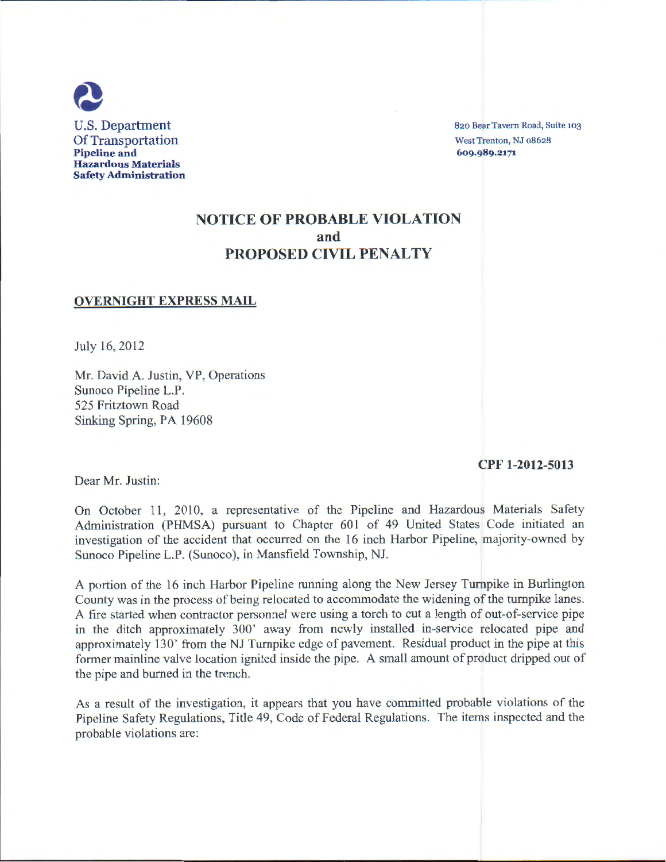

820 Bear Tavern Road, Suite 103 West Trenton, NJ 08628 609·989.2171

# NOTICE OF PROBABLE VIOLATION and PROPOSED CIVIL PENALTY

#### OVERNIGHT EXPRESS MAIL

July 16, 2012

Mr. David A. Justin, VP, Operations Sunoco Pipeline L.P. 525 Fritztown Road Sinking Spring, PA 19608

#### CPF 1-2012-5013

Dear Mr. Justin:

On October 11, 2010, a representative of the Pipeline and Hazardous Materials Safety Administration (PHMSA) pursuant to Chapter 601 of 49 United States Code initiated an investigation of the accident that occurred on the 16 inch Harbor Pipeline, majority-owned by Sunoco Pipeline L.P. (Sunoco), in Mansfield Township, NJ.

A portion of the 16 inch Harbor Pipeline running along the New Jersey Turnpike in Burlington County was in the process of being relocated to accommodate the widening of the turnpike lanes. A fire started when contractor personnel were using a torch to cut a length of out-of-service pipe in the ditch approximately 300' away from newly instaJled in-service relocated pipe and approximately 130' from the NJ Turnpike edge of pavement. Residual product in the pipe at this former mainline valve location ignited inside the pipe. A small amount of product dripped out of the pipe and burned in the trench.

As a result of the investigation, it appears that you have committed probable violations of the Pipeline Safety Regulations, Title 49, Code of Federal Regulations. The items inspected and the probable violations are: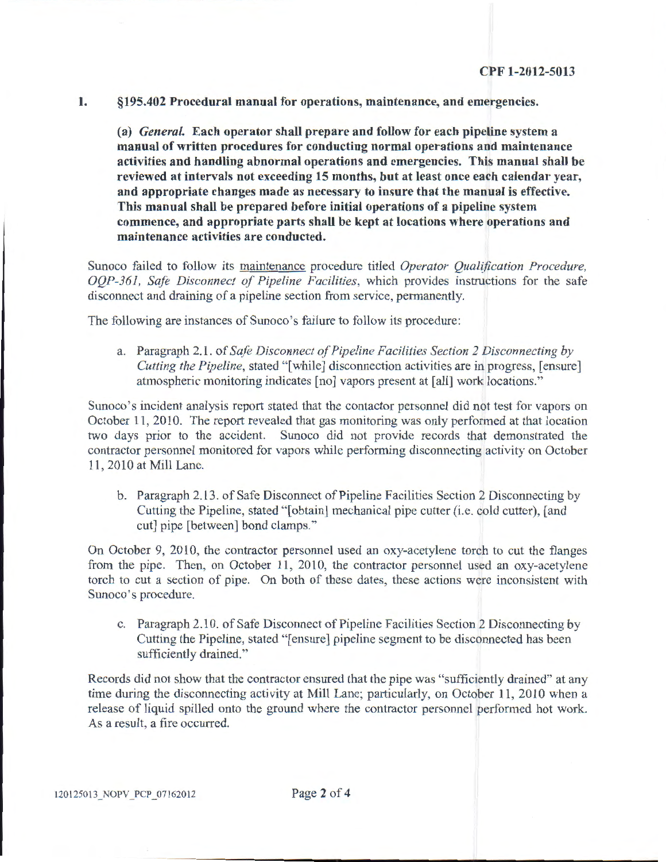1. §195.402 Procedural manual for operations, maintenance, and emergencies.

(a) *General.* Each operator shall prepare and follow for each pipeline system a manual of written procedures for conducting normal operations and maintenance activities and handling abnormal operations and emergencies. This manual shall be reviewed at intervals not exceeding 15 months, but at least once each calendar year, and appropriate changes made as necessary to insure that the manual is effective. This manual shall be prepared before initial operations of a pipeline system commence, and appropriate parts shall be kept at locations where operations and maintenance activities are conducted.

Sunoco failed to follow its maintenance procedure titled *Operator Qualification Procedure, OQP-361, Safe Disconnect of Pipeline Facilities,* which provides instructions for the safe disconnect and draining of a pipeline section from service, permanently.

The following are instances of Sunoco's failure to follow its procedure:

a. Paragraph 2.1. of *Safe Disconnect of Pipeline Facilities Section 2 Disconnecting by Cutting the Pipeline,* stated "[while] disconnection activities are in progress, [ensure] atmospheric monitoring indicates [no] vapors present at [all] work locations."

Sunoco's incident analysis report stated that the contactor personnel did not test for vapors on October 11, 2010. The report revealed that gas monitoring was only performed at that location two days prior to the accident. Sunoco did not provide records that demonstrated the contractor personnel monitored for vapors while performing disconnecting activity on October 11 , 2010 at Mill Lane.

b. Paragraph 2.13. of Safe Disconnect of Pipeline Facilities Section 2 Disconnecting by Cutting the Pipeline, stated "[obtain] mechanical pipe cutter (i.e. cold cutter), [and cut] pipe [between] bond clamps."

On October 9, 2010, the contractor personnel used an oxy-acetylene torch to cut the flanges from the pipe. Then, on October 11, 2010, the contractor personnel used an oxy-acetylene torch to cut a section of pipe. On both of these dates, these actions were inconsistent with Sunoco's procedure.

c. Paragraph 2.10. of Safe Disconnect of Pipeline Facilities Section 2 Disconnecting by Cutting the Pipeline, stated"[ ensure] pipeline segment to be disconnected has been sufficiently drained."

Records did not show that the contractor ensured that the pipe was "sufficiently drained" at any time during the disconnecting activity at Mill Lane; particularly, on October 11, 2010 when a release of liquid spilled onto the ground where the contractor personnel performed hot work. As a result, a fire occurred.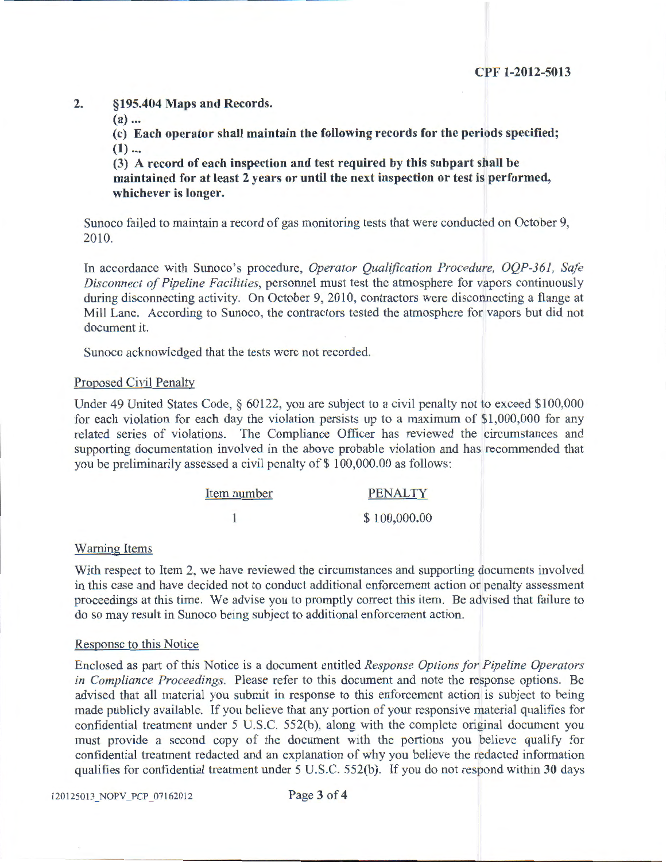# 2. §195.404 Maps and Records.

 $(a)$ ...

(c) Each operator shaU maintain the following records for the periods specified;  $(1)$  ...

(3) A record of each inspection and test required by this subpart shall be maintained for at least 2 years or until the next inspection or test is performed, whichever is longer.

Sunoco failed to maintain a record of gas monitoring tests that were conducted on October 9, 2010.

In accordance with Sunoco's procedure, *Operator Qualification Procedure, OQP-361, Safe Disconnect of Pipeline Facilities,* personnel must test the atmosphere for vapors continuously during disconnecting activity. On October 9, 2010, contractors were disconnecting a flange at Mill Lane. According to Sunoco, the contractors tested the atmosphere for vapors but did not document it.

Sunoco acknowledged that the tests were not recorded.

### Proposed Civil Penalty

Under 49 United States Code, § 60122, you are subject to a civil penalty not to exceed \$1 00,000 for each violation for each day the violation persists up to a maximum of \$1,000,000 for any related series of violations. The Compliance Officer has reviewed the circumstances and supporting documentation involved in the above probable violation and has recommended that you be preliminarily assessed a civil penalty of \$100,000.00 as follows:

| Item number | <b>PENALTY</b> |
|-------------|----------------|
|             | \$100,000.00   |

# Warning Items

With respect to Item 2, we have reviewed the circumstances and supporting documents involved in this case and have decided not to conduct additional enforcement action or penalty assessment proceedings at this time. We advise you to promptly correct this item. Be advised that failure to do so may result in Sunoco being subject to additional enforcement action.

### Response to this Notice

Enclosed as part of this Notice is a document entitled *Response Options for Pipeline Operators in Compliance Proceedings.* Please refer to this document and note the response options. Be advised that all material you submit in response to this enforcement action is subject to being made publicly available. If you believe that any portion of your responsive material qualifies for confidential treatment under 5 U.S.C. 552(b), along with the complete original document you must provide a second copy of the document with the portions you believe qualify for confidential treatment redacted and an explanation of why you believe the redacted information qualifies for confidential treatment under 5 U.S.C. 552(b). If you do not respond within 30 days